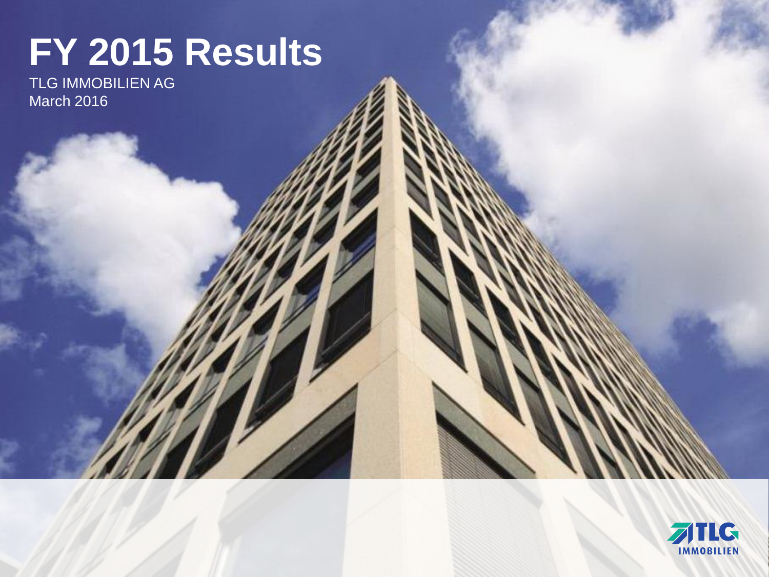# **FY 2015 Results**

TLG IMMOBILIEN AG March 2016

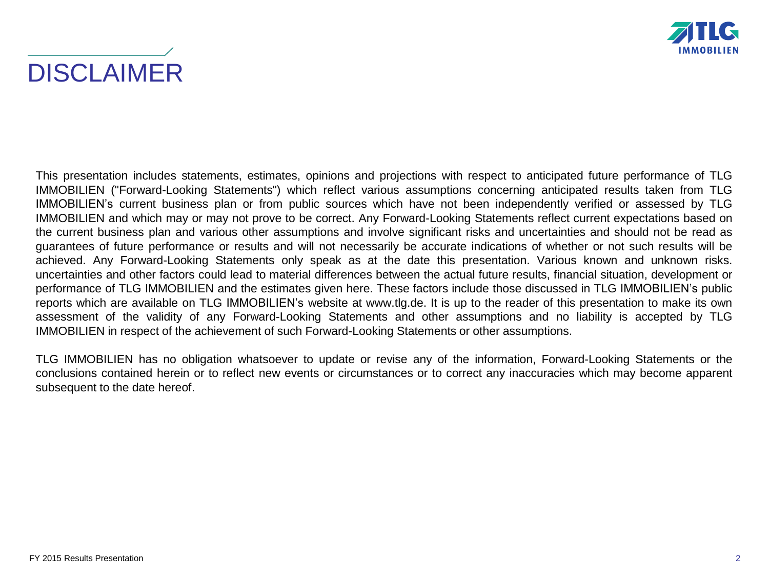



This presentation includes statements, estimates, opinions and projections with respect to anticipated future performance of TLG IMMOBILIEN ("Forward-Looking Statements") which reflect various assumptions concerning anticipated results taken from TLG IMMOBILIEN's current business plan or from public sources which have not been independently verified or assessed by TLG IMMOBILIEN and which may or may not prove to be correct. Any Forward-Looking Statements reflect current expectations based on the current business plan and various other assumptions and involve significant risks and uncertainties and should not be read as guarantees of future performance or results and will not necessarily be accurate indications of whether or not such results will be achieved. Any Forward-Looking Statements only speak as at the date this presentation. Various known and unknown risks. uncertainties and other factors could lead to material differences between the actual future results, financial situation, development or performance of TLG IMMOBILIEN and the estimates given here. These factors include those discussed in TLG IMMOBILIEN's public reports which are available on TLG IMMOBILIEN's website at www.tlg.de. It is up to the reader of this presentation to make its own assessment of the validity of any Forward-Looking Statements and other assumptions and no liability is accepted by TLG IMMOBILIEN in respect of the achievement of such Forward-Looking Statements or other assumptions.

TLG IMMOBILIEN has no obligation whatsoever to update or revise any of the information, Forward-Looking Statements or the conclusions contained herein or to reflect new events or circumstances or to correct any inaccuracies which may become apparent subsequent to the date hereof.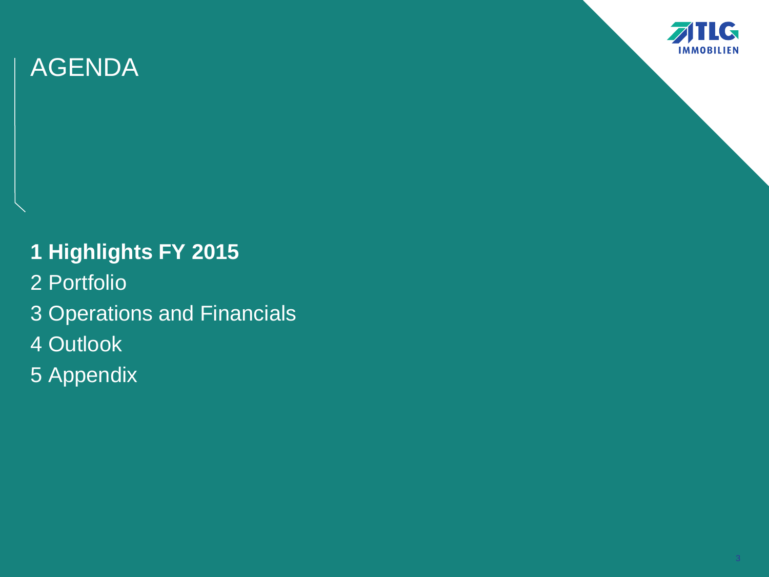

- **1 Highlights FY 2015**
- 2 Portfolio
- 3 Operations and Financials
- 4 Outlook
- 5 Appendix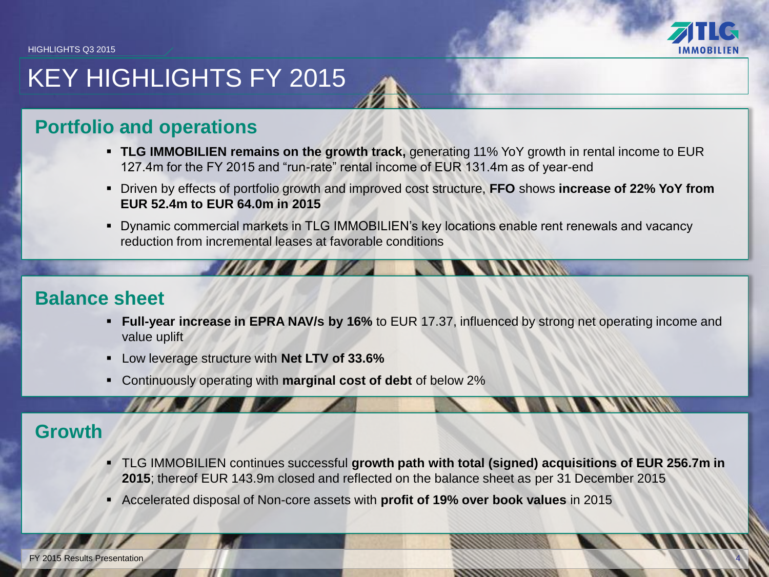

4

# KEY HIGHLIGHTS FY 2015

## **Portfolio and operations**

- **TLG IMMOBILIEN remains on the growth track,** generating 11% YoY growth in rental income to EUR 127.4m for the FY 2015 and "run-rate" rental income of EUR 131.4m as of year-end
- Driven by effects of portfolio growth and improved cost structure, **FFO** shows **increase of 22% YoY from EUR 52.4m to EUR 64.0m in 2015**
- Dynamic commercial markets in TLG IMMOBILIEN's key locations enable rent renewals and vacancy reduction from incremental leases at favorable conditions

## **Balance sheet**

- **Full-year increase in EPRA NAV/s by 16%** to EUR 17.37, influenced by strong net operating income and value uplift
- Low leverage structure with **Net LTV of 33.6%**
- Continuously operating with **marginal cost of debt** of below 2%

## **Growth**

- TLG IMMOBILIEN continues successful **growth path with total (signed) acquisitions of EUR 256.7m in 2015**; thereof EUR 143.9m closed and reflected on the balance sheet as per 31 December 2015
- Accelerated disposal of Non-core assets with **profit of 19% over book values** in 2015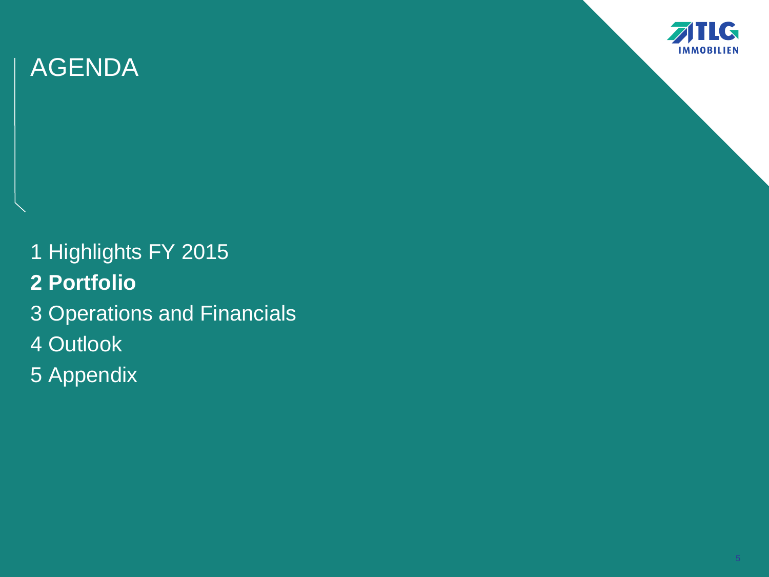

1 Highlights FY 2015 **2 Portfolio** 3 Operations and Financials 4 Outlook 5 Appendix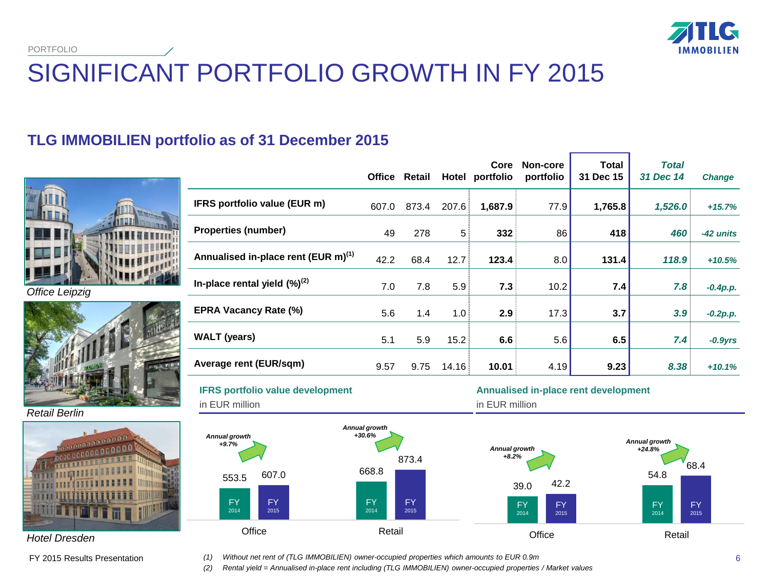

# SIGNIFICANT PORTFOLIO GROWTH IN FY 2015

## **TLG IMMOBILIEN portfolio as of 31 December 2015**



*Office Leipzig*



*Retail Berlin*



*Hotel Dresden*

FY 2015 Results Presentation

|                                                 |       | Office Retail | Hotel | Core<br>portfolio | Non-core<br>portfolio | <b>Total</b><br>31 Dec 15 | <b>Total</b><br>31 Dec 14 | <b>Change</b> |
|-------------------------------------------------|-------|---------------|-------|-------------------|-----------------------|---------------------------|---------------------------|---------------|
| IFRS portfolio value (EUR m)                    | 607.0 | 873.4         | 207.6 | 1,687.9           | 77.9                  | 1,765.8                   | 1,526.0                   | $+15.7%$      |
| <b>Properties (number)</b>                      | 49    | 278           | 5     | 332               | 86                    | 418                       | 460                       | -42 units     |
| Annualised in-place rent (EUR m) <sup>(1)</sup> | 42.2  | 68.4          | 12.7  | 123.4             | 8.0                   | 131.4                     | 118.9                     | $+10.5%$      |
| In-place rental yield $(\%)^{(2)}$              | 7.0   | 7.8           | 5.9   | 7.3               | 10.2                  | 7.4                       | 7.8                       | $-0.4p.p.$    |
| <b>EPRA Vacancy Rate (%)</b>                    | 5.6   | 1.4           | 1.0   | 2.9               | 17.3                  | 3.7                       | 3.9                       | $-0.2p.p.$    |
| <b>WALT</b> (years)                             | 5.1   | 5.9           | 15.2  | 6.6               | 5.6                   | 6.5                       | 7.4                       | $-0.9$ yrs    |
| Average rent (EUR/sqm)                          | 9.57  | 9.75          | 14.16 | 10.01             | 4.19                  | 9.23                      | 8.38                      | $+10.1%$      |

**Annualised in-place rent development** 

**IFRS portfolio value development** 



*(1) Without net rent of (TLG IMMOBILIEN) owner-occupied properties which amounts to EUR 0.9m*

*(2) Rental yield = Annualised in-place rent including (TLG IMMOBILIEN) owner-occupied properties / Market values*

68.4

FY 2015

FY 2014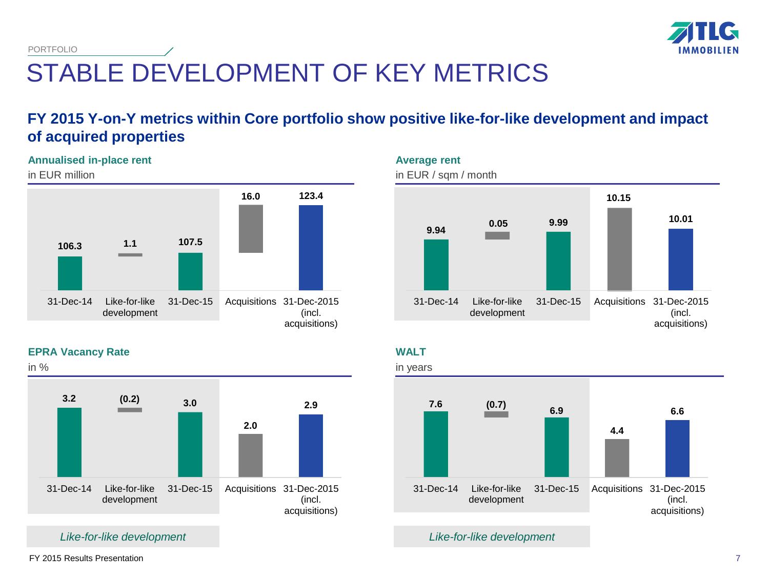

## STABLE DEVELOPMENT OF KEY METRICS PORTFOLIO

## **FY 2015 Y-on-Y metrics within Core portfolio show positive like-for-like development and impact of acquired properties**

### **Annualised in-place rent**

in EUR million





## **WALT**



*Like-for-like development*

## **EPRA Vacancy Rate**



*Like-for-like development*

FY 2015 Results Presentation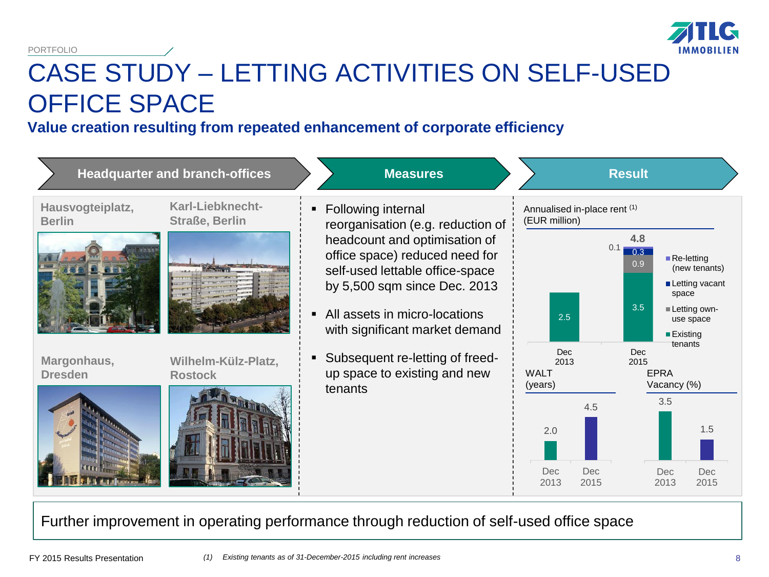

# CASE STUDY – LETTING ACTIVITIES ON SELF-USED OFFICE SPACE

## **Value creation resulting from repeated enhancement of corporate efficiency**



Further improvement in operating performance through reduction of self-used office space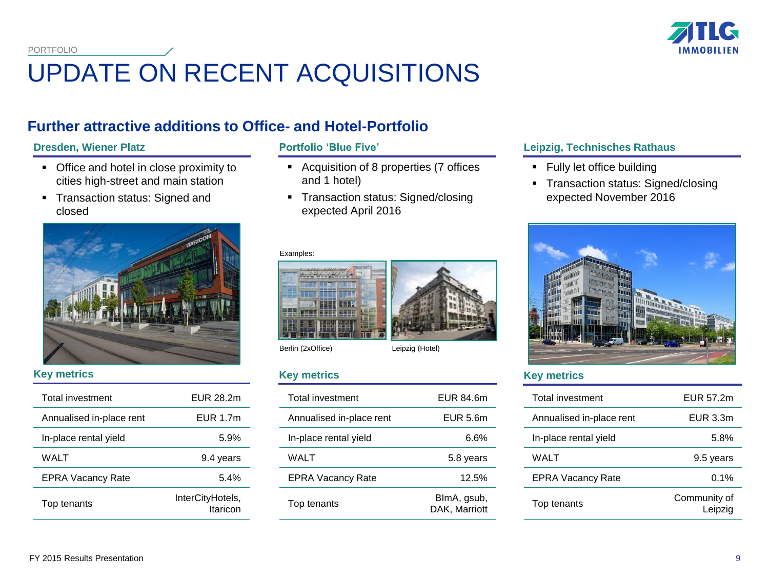

# UPDATE ON RECENT ACQUISITIONS

## **Further attractive additions to Office- and Hotel-Portfolio**

- Office and hotel in close proximity to cities high-street and main station
- Transaction status: Signed and closed



### **Key metrics**

| <b>Total investment</b>  | EUR 28.2m                    |
|--------------------------|------------------------------|
| Annualised in-place rent | EUR 1.7m                     |
| In-place rental yield    | 5.9%                         |
| WAI T                    | 9.4 years                    |
| <b>EPRA Vacancy Rate</b> | 5.4%                         |
| Top tenants              | InterCityHotels,<br>Itaricon |

- Acquisition of 8 properties (7 offices and 1 hotel)
- Transaction status: Signed/closing expected April 2016

### Examples:



Berlin (2xOffice) Leipzig (Hotel)

### **Key metrics**

| <b>Total investment</b>  | EUR 84.6m                    |
|--------------------------|------------------------------|
| Annualised in-place rent | EUR 5.6m                     |
| In-place rental vield    | ჩ.ჩ%                         |
| WALT                     | 5.8 years                    |
| <b>EPRA Vacancy Rate</b> | 12.5%                        |
| Top tenants              | BlmA, gsub,<br>DAK. Marriott |

### **Dresden, Wiener Platz Portfolio 'Blue Five' Leipzig, Technisches Rathaus**

- **Fully let office building**
- **Transaction status: Signed/closing** expected November 2016



### **Key metrics**

| Total investment         | EUR 57.2m               |
|--------------------------|-------------------------|
| Annualised in-place rent | EUR 3.3m                |
| In-place rental yield    | 5.8%                    |
| WAI T                    | 9.5 years               |
| <b>EPRA Vacancy Rate</b> | 0.1%                    |
| Top tenants              | Community of<br>Leipzig |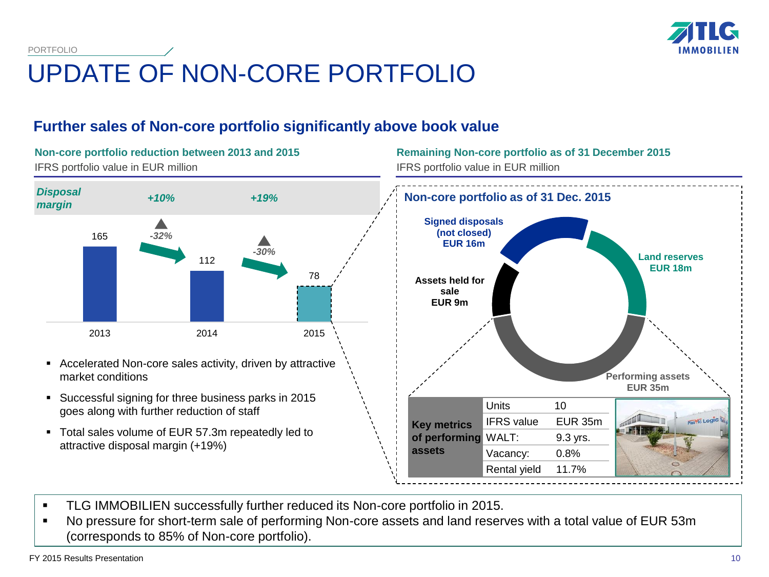

# UPDATE OF NON-CORE PORTFOLIO

## **Further sales of Non-core portfolio significantly above book value**

**Non-core portfolio reduction between 2013 and 2015** IFRS portfolio value in EUR million



- Accelerated Non-core sales activity, driven by attractive market conditions
- Successful signing for three business parks in 2015 goes along with further reduction of staff
- Total sales volume of EUR 57.3m repeatedly led to attractive disposal margin (+19%)

**Remaining Non-core portfolio as of 31 December 2015** IFRS portfolio value in EUR million



- **TLG IMMOBILIEN successfully further reduced its Non-core portfolio in 2015.**
- No pressure for short-term sale of performing Non-core assets and land reserves with a total value of EUR 53m (corresponds to 85% of Non-core portfolio).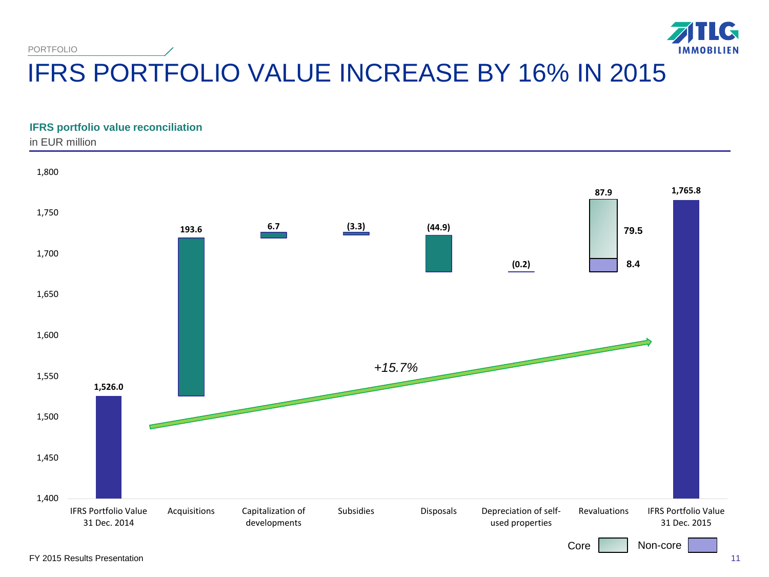

# IFRS PORTFOLIO VALUE INCREASE BY 16% IN 2015

### **IFRS portfolio value reconciliation**

in EUR million

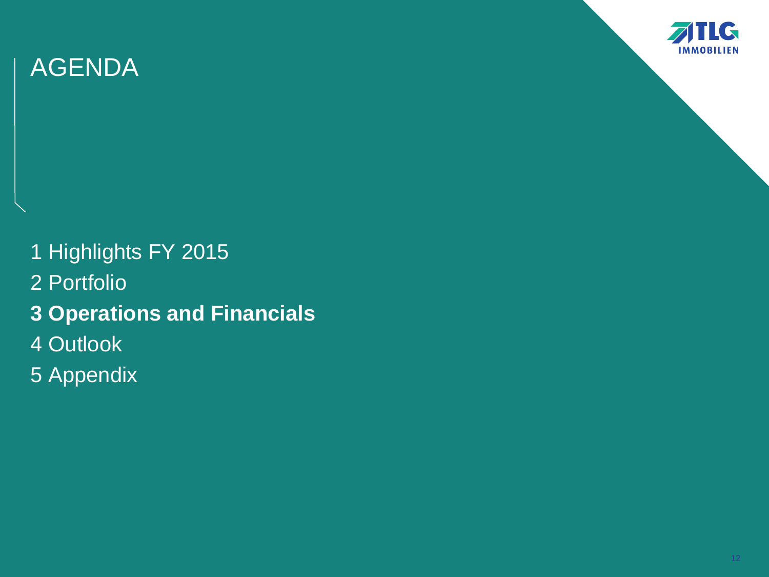

- 1 Highlights FY 2015 2 Portfolio **3 Operations and Financials** 4 Outlook
- 5 Appendix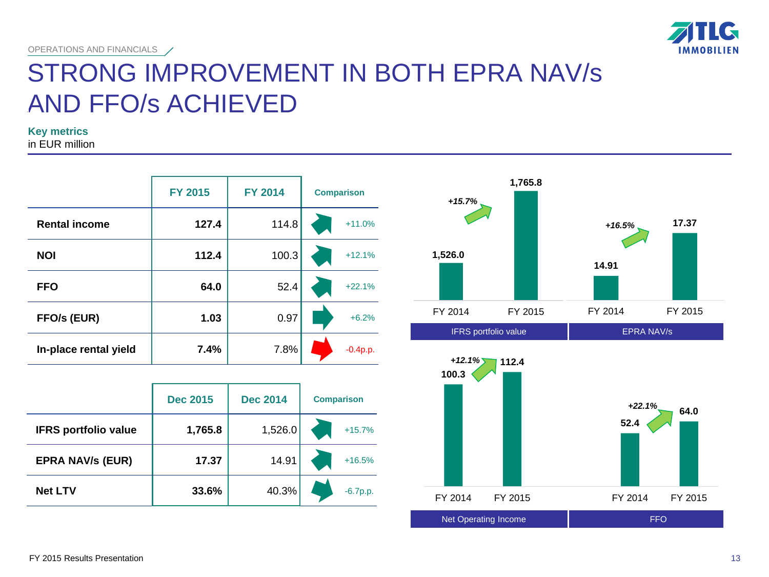

## STRONG IMPROVEMENT IN BOTH EPRA NAV/s AND FFO/s ACHIEVED

**Key metrics**

in EUR million

|                       | <b>FY 2015</b> | <b>FY 2014</b> | <b>Comparison</b> |
|-----------------------|----------------|----------------|-------------------|
| <b>Rental income</b>  | 127.4          | 114.8          | $+11.0%$          |
| <b>NOI</b>            | 112.4          | 100.3          | $+12.1%$          |
| <b>FFO</b>            | 64.0           | 52.4           | $+22.1%$          |
| FFO/s (EUR)           | 1.03           | 0.97           | $+6.2%$           |
| In-place rental yield | 7.4%           | 7.8%           | $-0.4p.p.$        |

|                             | <b>Dec 2015</b> | <b>Dec 2014</b> | <b>Comparison</b> |
|-----------------------------|-----------------|-----------------|-------------------|
| <b>IFRS portfolio value</b> | 1,765.8         | 1,526.0         | $+15.7%$          |
| <b>EPRA NAV/s (EUR)</b>     | 17.37           | 14.91           | $+16.5%$          |
| <b>Net LTV</b>              | 33.6%           | 40.3%           | $-6.7p.p.$        |



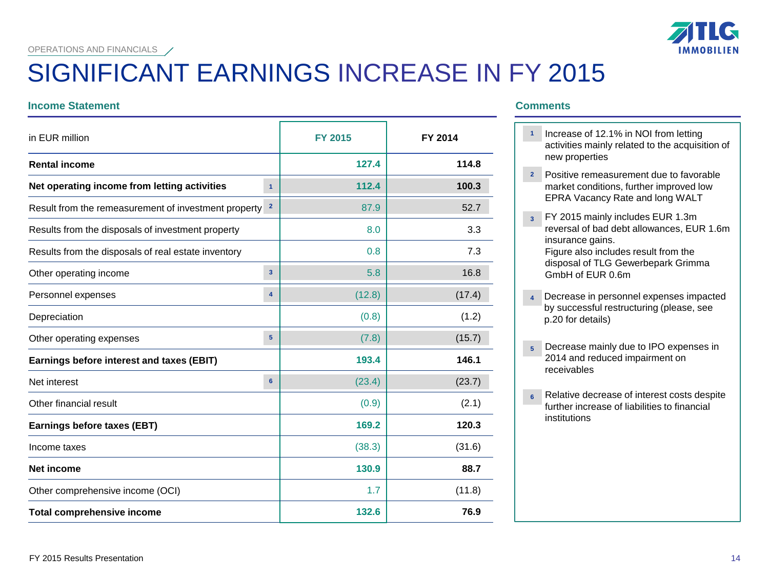# **IMMOBILIEN**

# SIGNIFICANT EARNINGS INCREASE IN FY 2015

### **Income Statement Comments**

| in EUR million                                       |                         | <b>FY 2015</b> | FY 2014 |
|------------------------------------------------------|-------------------------|----------------|---------|
| <b>Rental income</b>                                 |                         | 127.4          | 114.8   |
| Net operating income from letting activities         | $\overline{1}$          | 112.4          | 100.3   |
| Result from the remeasurement of investment property | $\mathbf{2}$            | 87.9           | 52.7    |
| Results from the disposals of investment property    |                         | 8.0            | 3.3     |
| Results from the disposals of real estate inventory  |                         | 0.8            | 7.3     |
| Other operating income                               | $\overline{\mathbf{3}}$ | 5.8            | 16.8    |
| Personnel expenses                                   | $\overline{\mathbf{4}}$ | (12.8)         | (17.4)  |
| Depreciation                                         |                         | (0.8)          | (1.2)   |
| Other operating expenses                             | 5                       | (7.8)          | (15.7)  |
| Earnings before interest and taxes (EBIT)            |                         | 193.4          | 146.1   |
| Net interest                                         | 6                       | (23.4)         | (23.7)  |
| Other financial result                               |                         | (0.9)          | (2.1)   |
| Earnings before taxes (EBT)                          |                         | 169.2          | 120.3   |
| Income taxes                                         |                         | (38.3)         | (31.6)  |
| <b>Net income</b>                                    |                         | 130.9          | 88.7    |
| Other comprehensive income (OCI)                     |                         | 1.7            | (11.8)  |
| <b>Total comprehensive income</b>                    |                         | 132.6          | 76.9    |

- 1 Increase of 12.1% in NOI from letting activities mainly related to the acquisition of new properties
- Positive remeasurement due to favorable **2** market conditions, further improved low EPRA Vacancy Rate and long WALT
- FY 2015 mainly includes EUR 1.3m **3** reversal of bad debt allowances, EUR 1.6m insurance gains.

Figure also includes result from the disposal of TLG Gewerbepark Grimma GmbH of EUR 0.6m

- Decrease in personnel expenses impacted by successful restructuring (please, see p.20 for details) **4**
- Decrease mainly due to IPO expenses in **5** 2014 and reduced impairment on receivables
- Relative decrease of interest costs despite further increase of liabilities to financial institutions **6**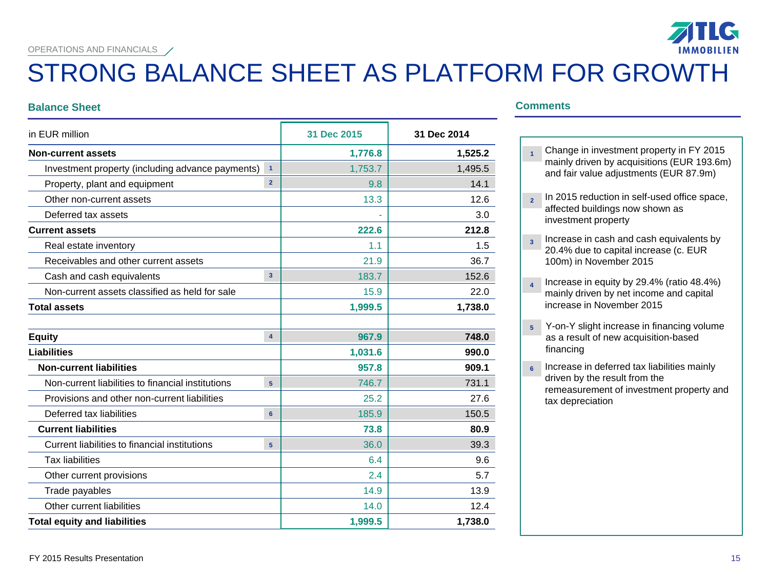## STRONG BALANCE SHEET AS PLATFORM FOR GROWTH

### **Balance Sheet Comments**

| in EUR million          |                                                  | 31 Dec 2014 |  |
|-------------------------|--------------------------------------------------|-------------|--|
|                         | 1,776.8                                          | 1,525.2     |  |
| $\overline{1}$          | 1,753.7                                          | 1,495.5     |  |
| $\overline{2}$          | 9.8                                              | 14.1        |  |
|                         | 13.3                                             | 12.6        |  |
|                         |                                                  | 3.0         |  |
|                         | 222.6                                            | 212.8       |  |
|                         | 1.1                                              | 1.5         |  |
|                         | 21.9                                             | 36.7        |  |
| $\overline{\mathbf{3}}$ | 183.7                                            | 152.6       |  |
|                         | 15.9                                             | 22.0        |  |
|                         | 1,999.5                                          | 1,738.0     |  |
|                         |                                                  |             |  |
| $\overline{\mathbf{4}}$ | 967.9                                            | 748.0       |  |
|                         | 1,031.6                                          | 990.0       |  |
|                         | 957.8                                            | 909.1       |  |
| 5                       | 746.7                                            | 731.1       |  |
|                         | 25.2                                             | 27.6        |  |
| $6\phantom{a}$          | 185.9                                            | 150.5       |  |
|                         | 73.8                                             | 80.9        |  |
| 5                       | 36.0                                             | 39.3        |  |
|                         | 6.4                                              | 9.6         |  |
|                         | 2.4                                              | 5.7         |  |
|                         | 14.9                                             | 13.9        |  |
|                         | 14.0                                             | 12.4        |  |
|                         | 1,999.5                                          | 1,738.0     |  |
|                         | Investment property (including advance payments) | 31 Dec 2015 |  |

- Change in investment property in FY 2015 mainly driven by acquisitions (EUR 193.6m) and fair value adjustments (EUR 87.9m) **1**
- <sup>2</sup> In 2015 reduction in self-used office space, affected buildings now shown as investment property
- Increase in cash and cash equivalents by 20.4% due to capital increase (c. EUR 100m) in November 2015 **3**
- Increase in equity by 29.4% (ratio 48.4%) mainly driven by net income and capital increase in November 2015 **4**
- Y-on-Y slight increase in financing volume as a result of new acquisition-based financing **5**
- Increase in deferred tax liabilities mainly driven by the result from the remeasurement of investment property and tax depreciation **6**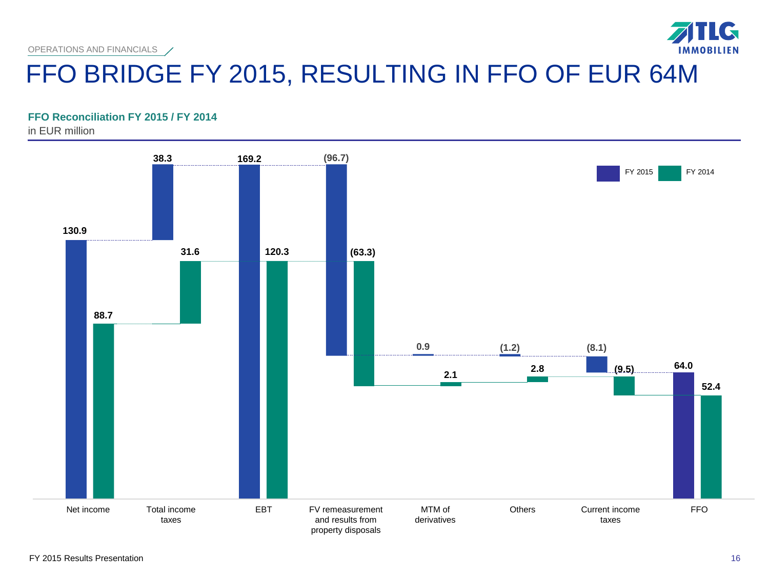

### **FFO Reconciliation FY 2015 / FY 2014**

in EUR million



 $\mathbf{G}$ 

**IMMOBILIEN**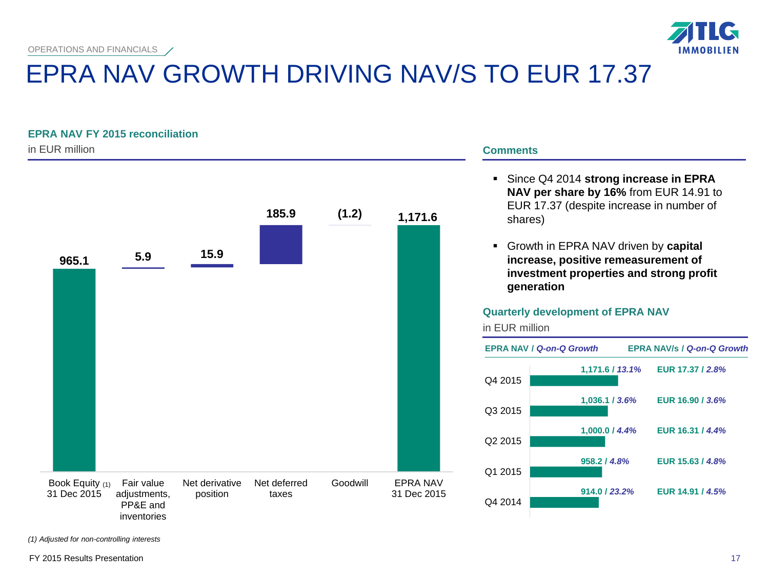

# EPRA NAV GROWTH DRIVING NAV/S TO EUR 17.37

### **EPRA NAV FY 2015 reconciliation**

in EUR million



### **Comments**

 Since Q4 2014 **strong increase in EPRA NAV per share by 16%** from EUR 14.91 to EUR 17.37 (despite increase in number of shares)

 Growth in EPRA NAV driven by **capital increase, positive remeasurement of investment properties and strong profit generation**

### **Quarterly development of EPRA NAV**

in EUR million



*(1) Adjusted for non-controlling interests*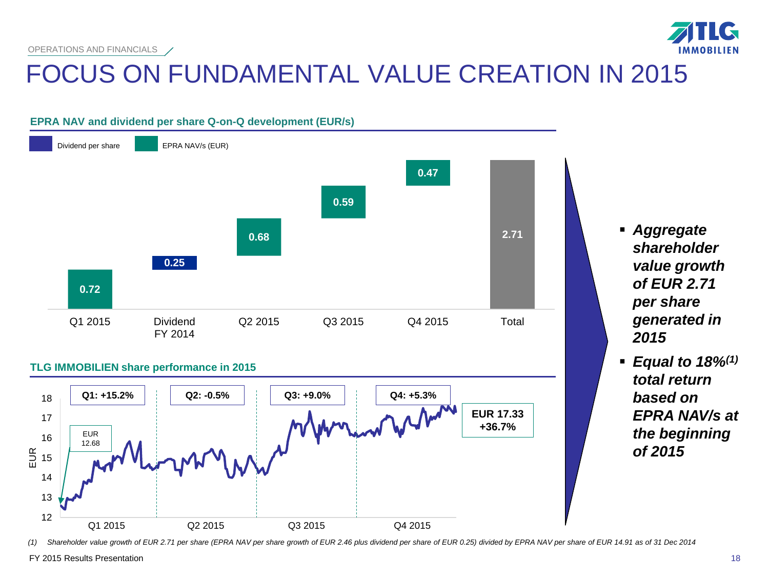

# FOCUS ON FUNDAMENTAL VALUE CREATION IN 2015

## **EPRA NAV and dividend per share Q-on-Q development (EUR/s)**



### **TLG IMMOBILIEN share performance in 2015**



 *Aggregate shareholder value growth of EUR 2.71 per share generated in 2015*

 *Equal to 18%(1) total return based on EPRA NAV/s at the beginning of 2015*

*(1) Shareholder value growth of EUR 2.71 per share (EPRA NAV per share growth of EUR 2.46 plus dividend per share of EUR 0.25) divided by EPRA NAV per share of EUR 14.91 as of 31 Dec 2014*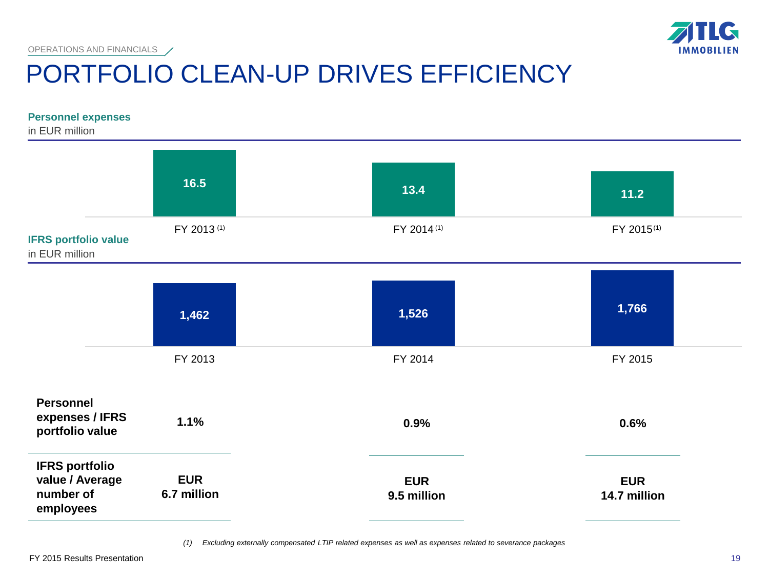

## PORTFOLIO CLEAN-UP DRIVES EFFICIENCY OPERATIONS AND FINANCIALS /

### **Personnel expenses**

in EUR million



*(1) Excluding externally compensated LTIP related expenses as well as expenses related to severance packages*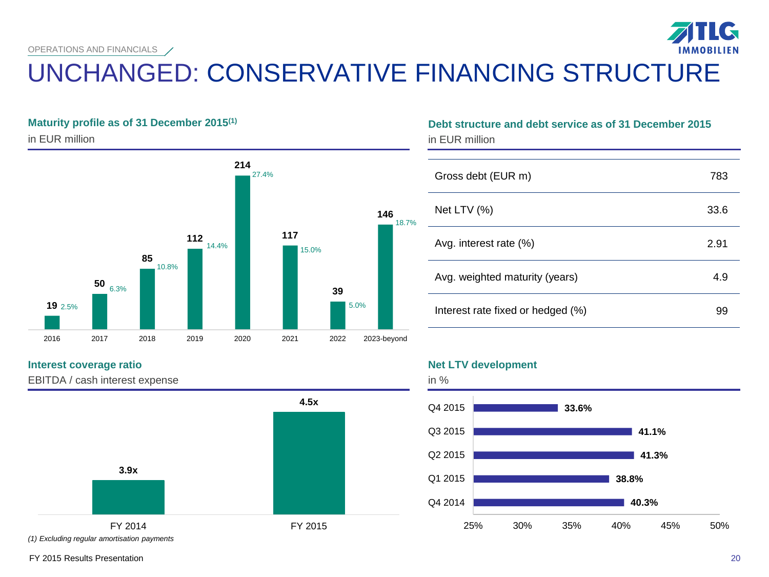# UNCHANGED: CONSERVATIVE FINANCING STRUCTURE

### **Maturity profile as of 31 December 2015(1)**

in EUR million



### **Interest coverage ratio**

EBITDA / cash interest expense



## **Debt structure and debt service as of 31 December 2015** in EUR million

|   | Gross debt (EUR m)                | 783  |
|---|-----------------------------------|------|
| % | Net LTV $(%)$                     | 33.6 |
|   | Avg. interest rate (%)            | 2.91 |
|   | Avg. weighted maturity (years)    | 4.9  |
|   | Interest rate fixed or hedged (%) | 99   |

### **Net LTV development**

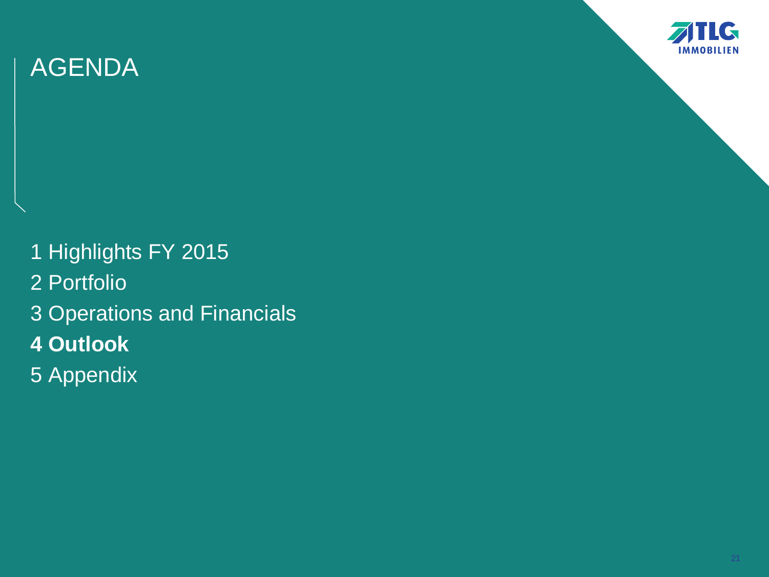

1 Highlights FY 2015 2 Portfolio 3 Operations and Financials **4 Outlook** 5 Appendix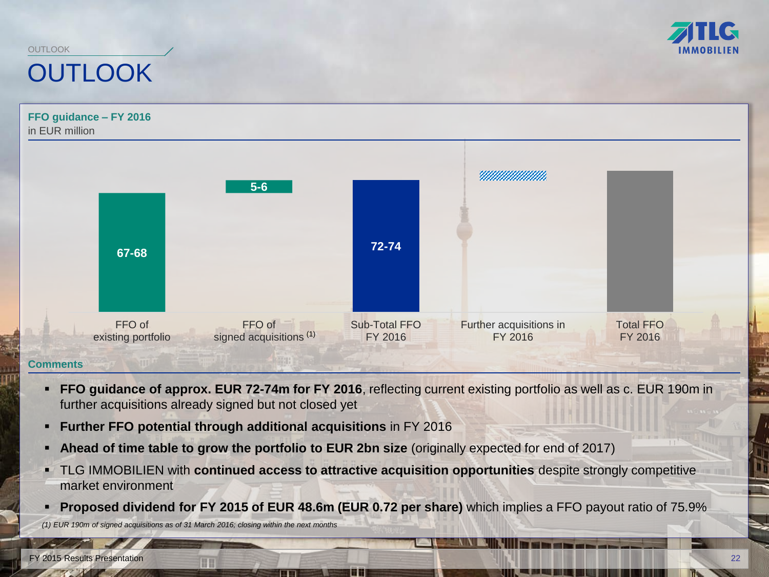

## **OUTLOOK** OUTLOOK



- **FFO guidance of approx. EUR 72-74m for FY 2016**, reflecting current existing portfolio as well as c. EUR 190m in further acquisitions already signed but not closed yet
- **Further FFO potential through additional acquisitions** in FY 2016
- **Ahead of time table to grow the portfolio to EUR 2bn size** (originally expected for end of 2017)
- TLG IMMOBILIEN with **continued access to attractive acquisition opportunities** despite strongly competitive market environment
- **Proposed dividend for FY 2015 of EUR 48.6m (EUR 0.72 per share)** which implies a FFO payout ratio of 75.9% *(1) EUR 190m of signed acquisitions as of 31 March 2016; closing within the next months*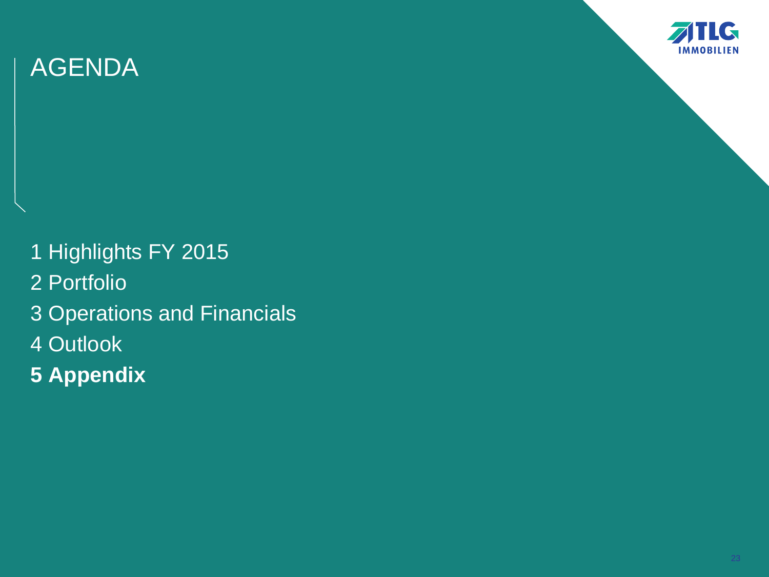

1 Highlights FY 2015 2 Portfolio 3 Operations and Financials 4 Outlook **5 Appendix**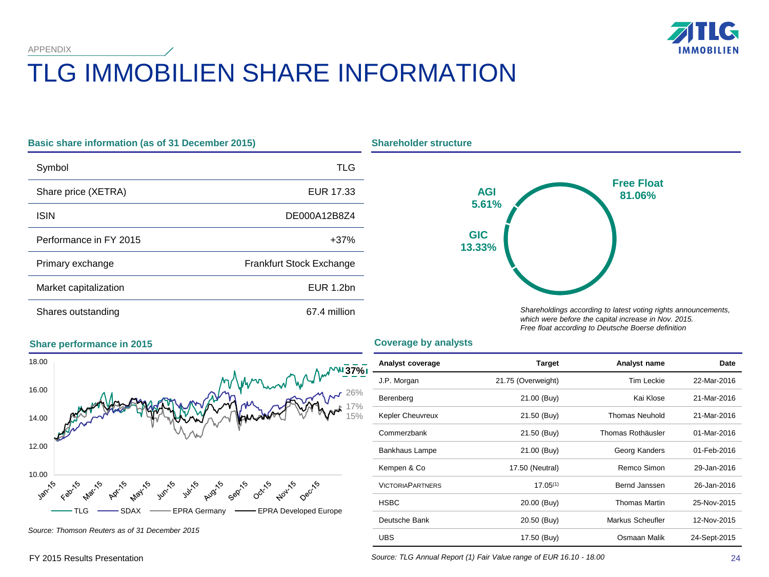APPENDIX



# TLG IMMOBILIEN SHARE INFORMATION

| <b>Basic share information (as of 31 December 2015)</b> |                                 |  |  |
|---------------------------------------------------------|---------------------------------|--|--|
| Symbol                                                  | TLG                             |  |  |
| Share price (XETRA)                                     | EUR 17.33                       |  |  |
| <b>ISIN</b>                                             | DE000A12B8Z4                    |  |  |
| Performance in FY 2015                                  | $+37%$                          |  |  |
| Primary exchange                                        | <b>Frankfurt Stock Exchange</b> |  |  |
| Market capitalization                                   | EUR 1.2bn                       |  |  |
| Shares outstanding                                      | 67.4 million                    |  |  |



*Shareholdings according to latest voting rights announcements, which were before the capital increase in Nov. 2015. Free float according to Deutsche Boerse definition*

### **Coverage by analysts**



*Source: Thomson Reuters as of 31 December 2015*

| Analyst coverage        | <b>Target</b>      | Analyst name         | <b>Date</b>  |
|-------------------------|--------------------|----------------------|--------------|
| J.P. Morgan             | 21.75 (Overweight) | <b>Tim Leckie</b>    | 22-Mar-2016  |
| Berenberg               | 21.00 (Buy)        | Kai Klose            | 21-Mar-2016  |
| Kepler Cheuvreux        | 21.50 (Buy)        | Thomas Neuhold       | 21-Mar-2016  |
| Commerzbank             | 21.50 (Buy)        | Thomas Rothäusler    | 01-Mar-2016  |
| Bankhaus Lampe          | 21.00 (Buy)        | Georg Kanders        | 01-Feb-2016  |
| Kempen & Co             | 17.50 (Neutral)    | Remco Simon          | 29-Jan-2016  |
| <b>VICTORIAPARTNERS</b> | $17.05^{(1)}$      | Bernd Janssen        | 26-Jan-2016  |
| <b>HSBC</b>             | 20.00 (Buy)        | <b>Thomas Martin</b> | 25-Nov-2015  |
| Deutsche Bank           | 20.50 (Buy)        | Markus Scheufler     | 12-Nov-2015  |
| <b>UBS</b>              | 17.50 (Buy)        | Osmaan Malik         | 24-Sept-2015 |

### *Source: TLG Annual Report (1) Fair Value range of EUR 16.10 - 18.00*

### **Share performance in 2015**